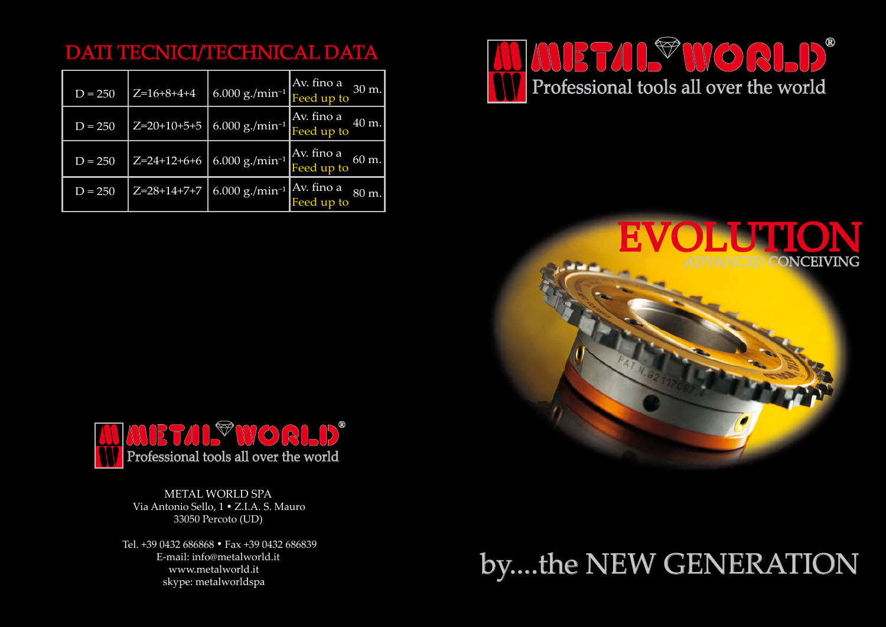METAL WORLD SPA Via Antonio Sello, 1 • Z.I.A. S. Mauro 33050 Percoto (UD)

Tel. +39 0432 686868 • Fax +39 0432 686839 E-mail: info@metalworld.it www.metalworld.it skype: metalworldspa

| $D = 250$ | $Z=16+8+4+4$  | $6.000$ g./min <sup>-1</sup>        | Av. fino a<br>Feed up to<br>30 m. |
|-----------|---------------|-------------------------------------|-----------------------------------|
| $D = 250$ | $Z=20+10+5+5$ | $6.000$ $\rm g$ ./min <sup>-1</sup> | Av. fino a<br>Feed up to<br>40 m. |
| $D = 250$ | $Z=24+12+6+6$ | $6.000$ g./min <sup>-1</sup>        | Av. fino a<br>Feed up to<br>60 m. |
| $D = 250$ | Z=28+14+7+7   | $6.000$ g./min <sup>-1</sup>        | Av. fino a<br>Feed up to<br>80 m. |

## DATI TECNICI/TECHNICAL DATA





## by....the NEW GENERATION

# VANCED CONCEIVING